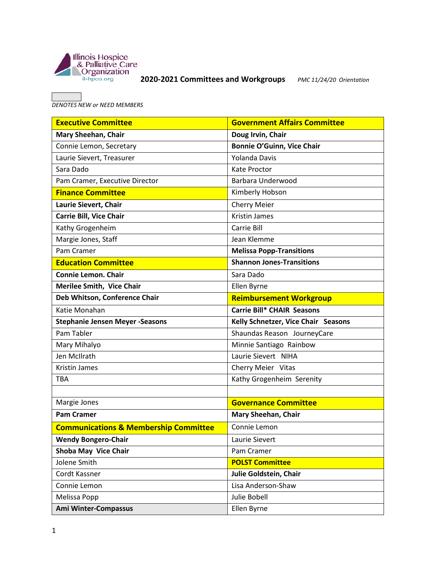

## **2020-2021 Committees and Workgroups** *PMC 11/24/20 Orientation*

*DENOTES NEW or NEED MEMBERS* 

| <b>Executive Committee</b>                       | <b>Government Affairs Committee</b> |
|--------------------------------------------------|-------------------------------------|
| Mary Sheehan, Chair                              | Doug Irvin, Chair                   |
| Connie Lemon, Secretary                          | <b>Bonnie O'Guinn, Vice Chair</b>   |
| Laurie Sievert, Treasurer                        | <b>Yolanda Davis</b>                |
| Sara Dado                                        | <b>Kate Proctor</b>                 |
| Pam Cramer, Executive Director                   | Barbara Underwood                   |
| <b>Finance Committee</b>                         | Kimberly Hobson                     |
| Laurie Sievert, Chair                            | <b>Cherry Meier</b>                 |
| <b>Carrie Bill, Vice Chair</b>                   | <b>Kristin James</b>                |
| Kathy Grogenheim                                 | Carrie Bill                         |
| Margie Jones, Staff                              | Jean Klemme                         |
| Pam Cramer                                       | <b>Melissa Popp-Transitions</b>     |
| <b>Education Committee</b>                       | <b>Shannon Jones-Transitions</b>    |
| <b>Connie Lemon. Chair</b>                       | Sara Dado                           |
| <b>Merilee Smith, Vice Chair</b>                 | Ellen Byrne                         |
| Deb Whitson, Conference Chair                    | <b>Reimbursement Workgroup</b>      |
| Katie Monahan                                    | <b>Carrie Bill* CHAIR Seasons</b>   |
| <b>Stephanie Jensen Meyer -Seasons</b>           | Kelly Schnetzer, Vice Chair Seasons |
| Pam Tabler                                       | Shaundas Reason JourneyCare         |
| Mary Mihalyo                                     | Minnie Santiago Rainbow             |
| Jen McIlrath                                     | Laurie Sievert NIHA                 |
| <b>Kristin James</b>                             | Cherry Meier Vitas                  |
| <b>TBA</b>                                       | Kathy Grogenheim Serenity           |
|                                                  |                                     |
| Margie Jones                                     | <b>Governance Committee</b>         |
| <b>Pam Cramer</b>                                | Mary Sheehan, Chair                 |
| <b>Communications &amp; Membership Committee</b> | Connie Lemon                        |
| <b>Wendy Bongero-Chair</b>                       | Laurie Sievert                      |
| Shoba May Vice Chair                             | Pam Cramer                          |
| Jolene Smith                                     | <b>POLST Committee</b>              |
| Cordt Kassner                                    | Julie Goldstein, Chair              |
| Connie Lemon                                     | Lisa Anderson-Shaw                  |
| Melissa Popp                                     | Julie Bobell                        |
| Ami Winter-Compassus                             | Ellen Byrne                         |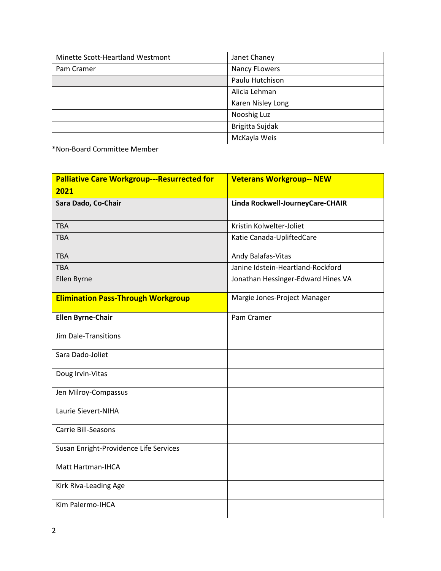| Minette Scott-Heartland Westmont | Janet Chaney         |
|----------------------------------|----------------------|
| Pam Cramer                       | <b>Nancy FLowers</b> |
|                                  | Paulu Hutchison      |
|                                  | Alicia Lehman        |
|                                  | Karen Nisley Long    |
|                                  | Nooshig Luz          |
|                                  | Brigitta Sujdak      |
|                                  | McKayla Weis         |

\*Non-Board Committee Member

| <b>Palliative Care Workgroup---Resurrected for</b> | <b>Veterans Workgroup-- NEW</b>    |
|----------------------------------------------------|------------------------------------|
| 2021                                               |                                    |
| Sara Dado, Co-Chair                                | Linda Rockwell-JourneyCare-CHAIR   |
|                                                    |                                    |
| <b>TBA</b>                                         | Kristin Kolwelter-Joliet           |
| <b>TBA</b>                                         | Katie Canada-UpliftedCare          |
| <b>TBA</b>                                         | Andy Balafas-Vitas                 |
| <b>TBA</b>                                         | Janine Idstein-Heartland-Rockford  |
| Ellen Byrne                                        | Jonathan Hessinger-Edward Hines VA |
| <b>Elimination Pass-Through Workgroup</b>          | Margie Jones-Project Manager       |
| <b>Ellen Byrne-Chair</b>                           | Pam Cramer                         |
| <b>Jim Dale-Transitions</b>                        |                                    |
| Sara Dado-Joliet                                   |                                    |
| Doug Irvin-Vitas                                   |                                    |
| Jen Milroy-Compassus                               |                                    |
| Laurie Sievert-NIHA                                |                                    |
| Carrie Bill-Seasons                                |                                    |
| Susan Enright-Providence Life Services             |                                    |
| Matt Hartman-IHCA                                  |                                    |
| Kirk Riva-Leading Age                              |                                    |
| Kim Palermo-IHCA                                   |                                    |